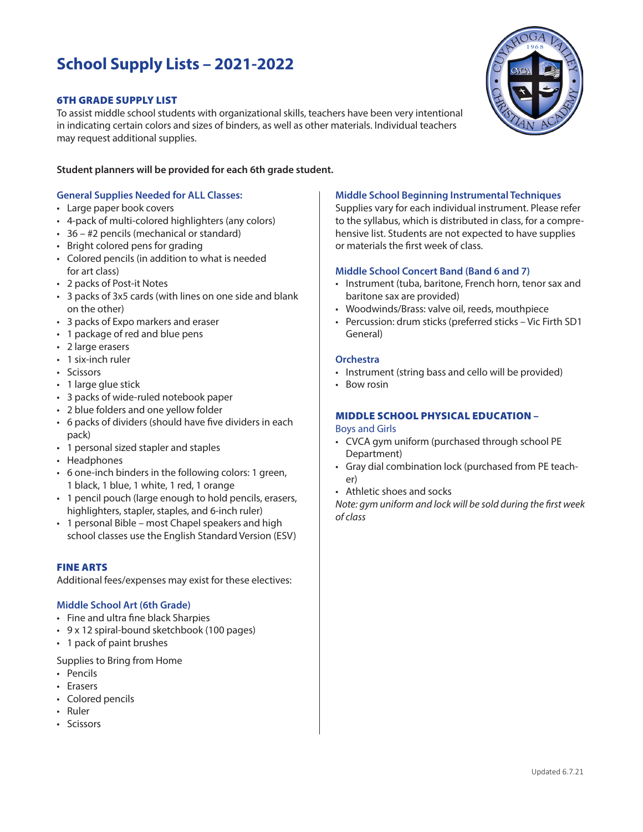# 6TH GRADE SUPPLY LIST

To assist middle school students with organizational skills, teachers have been very intentional in indicating certain colors and sizes of binders, as well as other materials. Individual teachers may request additional supplies.

# **Student planners will be provided for each 6th grade student.**

#### **General Supplies Needed for ALL Classes:**

- Large paper book covers
- 4-pack of multi-colored highlighters (any colors)
- 36 #2 pencils (mechanical or standard)
- Bright colored pens for grading
- Colored pencils (in addition to what is needed for art class)
- 2 packs of Post-it Notes
- 3 packs of 3x5 cards (with lines on one side and blank on the other)
- 3 packs of Expo markers and eraser
- 1 package of red and blue pens
- 2 large erasers
- 1 six-inch ruler
- Scissors
- 1 large glue stick
- 3 packs of wide-ruled notebook paper
- 2 blue folders and one yellow folder
- 6 packs of dividers (should have five dividers in each pack)
- 1 personal sized stapler and staples
- Headphones
- 6 one-inch binders in the following colors: 1 green, 1 black, 1 blue, 1 white, 1 red, 1 orange
- 1 pencil pouch (large enough to hold pencils, erasers, highlighters, stapler, staples, and 6-inch ruler)
- 1 personal Bible most Chapel speakers and high school classes use the English Standard Version (ESV)

#### FINE ARTS

Additional fees/expenses may exist for these electives:

#### **Middle School Art (6th Grade)**

- Fine and ultra fine black Sharpies
- 9 x 12 spiral-bound sketchbook (100 pages)
- 1 pack of paint brushes

Supplies to Bring from Home

- Pencils
- Erasers
- Colored pencils
- Ruler
- Scissors

#### **Middle School Beginning Instrumental Techniques**

Supplies vary for each individual instrument. Please refer to the syllabus, which is distributed in class, for a comprehensive list. Students are not expected to have supplies or materials the first week of class.

#### **Middle School Concert Band (Band 6 and 7)**

- Instrument (tuba, baritone, French horn, tenor sax and baritone sax are provided)
- Woodwinds/Brass: valve oil, reeds, mouthpiece
- Percussion: drum sticks (preferred sticks Vic Firth SD1 General)

#### **Orchestra**

- Instrument (string bass and cello will be provided)
- Bow rosin

#### MIDDLE SCHOOL PHYSICAL EDUCATION **–**  Boys and Girls

- CVCA gym uniform (purchased through school PE Department)
- Gray dial combination lock (purchased from PE teacher)
- Athletic shoes and socks

*Note: gym uniform and lock will be sold during the first week of class*

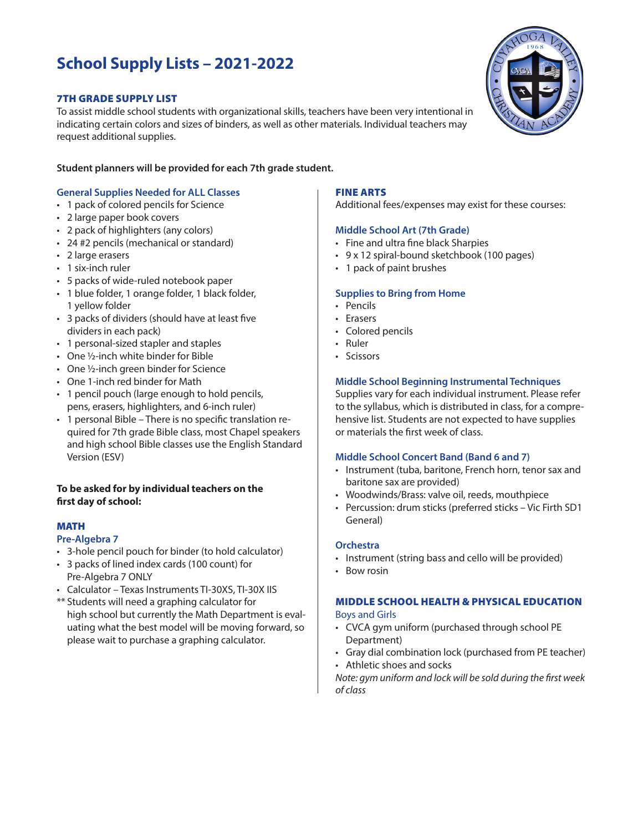# 7TH GRADE SUPPLY LIST

To assist middle school students with organizational skills, teachers have been very intentional in indicating certain colors and sizes of binders, as well as other materials. Individual teachers may request additional supplies.



# **Student planners will be provided for each 7th grade student.**

#### **General Supplies Needed for ALL Classes**

- 1 pack of colored pencils for Science
- 2 large paper book covers
- 2 pack of highlighters (any colors)
- 24 #2 pencils (mechanical or standard)
- 2 large erasers
- 1 six-inch ruler
- 5 packs of wide-ruled notebook paper
- 1 blue folder, 1 orange folder, 1 black folder, 1 yellow folder
- 3 packs of dividers (should have at least five dividers in each pack)
- 1 personal-sized stapler and staples
- One ½-inch white binder for Bible
- One ½-inch green binder for Science
- One 1-inch red binder for Math
- 1 pencil pouch (large enough to hold pencils, pens, erasers, highlighters, and 6-inch ruler)
- 1 personal Bible There is no specific translation required for 7th grade Bible class, most Chapel speakers and high school Bible classes use the English Standard Version (ESV)

## **To be asked for by individual teachers on the first day of school:**

## MATH

## **Pre-Algebra 7**

- 3-hole pencil pouch for binder (to hold calculator)
- 3 packs of lined index cards (100 count) for Pre-Algebra 7 ONLY
- Calculator Texas Instruments TI-30XS, TI-30X IIS
- \*\* Students will need a graphing calculator for high school but currently the Math Department is evaluating what the best model will be moving forward, so please wait to purchase a graphing calculator.

#### FINE ARTS

Additional fees/expenses may exist for these courses:

#### **Middle School Art (7th Grade)**

- Fine and ultra fine black Sharpies
- 9 x 12 spiral-bound sketchbook (100 pages)
- 1 pack of paint brushes

#### **Supplies to Bring from Home**

- Pencils
- Erasers
- Colored pencils
- Ruler
- Scissors

#### **Middle School Beginning Instrumental Techniques**

Supplies vary for each individual instrument. Please refer to the syllabus, which is distributed in class, for a comprehensive list. Students are not expected to have supplies or materials the first week of class.

#### **Middle School Concert Band (Band 6 and 7)**

- Instrument (tuba, baritone, French horn, tenor sax and baritone sax are provided)
- Woodwinds/Brass: valve oil, reeds, mouthpiece
- Percussion: drum sticks (preferred sticks Vic Firth SD1 General)

#### **Orchestra**

- Instrument (string bass and cello will be provided)
- Bow rosin

# MIDDLE SCHOOL HEALTH & PHYSICAL EDUCATION Boys and Girls

- CVCA gym uniform (purchased through school PE Department)
- Gray dial combination lock (purchased from PE teacher)
- Athletic shoes and socks

*Note: gym uniform and lock will be sold during the first week of class*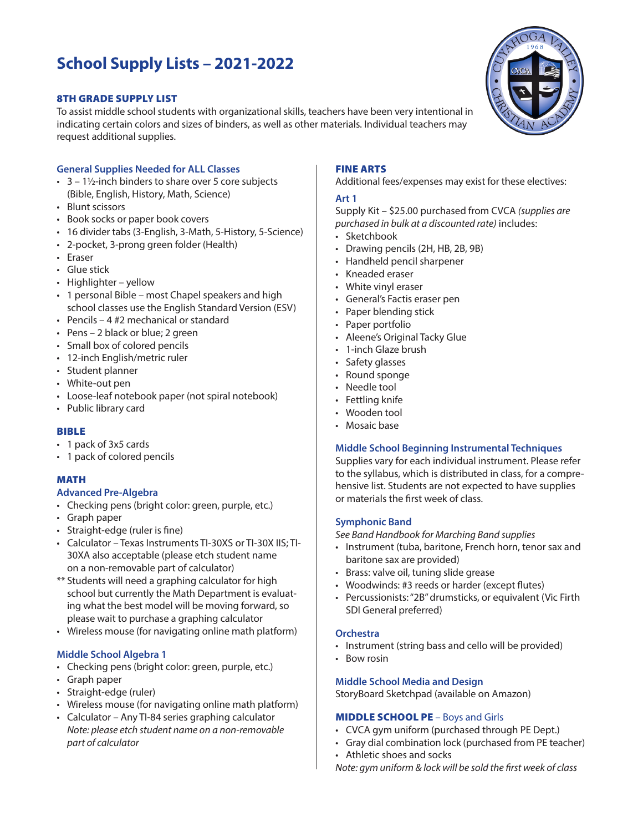## 8TH GRADE SUPPLY LIST

To assist middle school students with organizational skills, teachers have been very intentional in indicating certain colors and sizes of binders, as well as other materials. Individual teachers may request additional supplies.



- $\cdot$  3 1½-inch binders to share over 5 core subjects (Bible, English, History, Math, Science)
- Blunt scissors
- Book socks or paper book covers
- 16 divider tabs (3-English, 3-Math, 5-History, 5-Science)
- 2-pocket, 3-prong green folder (Health)
- Eraser
- Glue stick
- Highlighter yellow
- 1 personal Bible most Chapel speakers and high school classes use the English Standard Version (ESV)
- Pencils 4 #2 mechanical or standard
- Pens 2 black or blue; 2 green
- Small box of colored pencils
- 12-inch English/metric ruler
- Student planner
- White-out pen
- Loose-leaf notebook paper (not spiral notebook)
- Public library card

#### BIBLE

- 1 pack of 3x5 cards
- 1 pack of colored pencils

## MATH

#### **Advanced Pre-Algebra**

- Checking pens (bright color: green, purple, etc.)
- Graph paper
- Straight-edge (ruler is fine)
- Calculator Texas Instruments TI-30XS or TI-30X IIS; TI-30XA also acceptable (please etch student name on a non-removable part of calculator)
- \*\* Students will need a graphing calculator for high school but currently the Math Department is evaluating what the best model will be moving forward, so please wait to purchase a graphing calculator
- Wireless mouse (for navigating online math platform)

## **Middle School Algebra 1**

- Checking pens (bright color: green, purple, etc.)
- Graph paper
- Straight-edge (ruler)
- Wireless mouse (for navigating online math platform)
- Calculator Any TI-84 series graphing calculator *Note: please etch student name on a non-removable part of calculator*

# FINE ARTS

Additional fees/expenses may exist for these electives:

#### **Art 1**

Supply Kit – \$25.00 purchased from CVCA *(supplies are purchased in bulk at a discounted rate)* includes:

- Sketchbook
- Drawing pencils (2H, HB, 2B, 9B)
- Handheld pencil sharpener
- Kneaded eraser
- White vinyl eraser
- General's Factis eraser pen
- Paper blending stick
- Paper portfolio
- Aleene's Original Tacky Glue
- 1-inch Glaze brush
- Safety glasses
- Round sponge
- Needle tool
- Fettling knife
- Wooden tool
- Mosaic base

## **Middle School Beginning Instrumental Techniques**

Supplies vary for each individual instrument. Please refer to the syllabus, which is distributed in class, for a comprehensive list. Students are not expected to have supplies or materials the first week of class.

#### **Symphonic Band**

*See Band Handbook for Marching Band supplies*

- Instrument (tuba, baritone, French horn, tenor sax and baritone sax are provided)
- Brass: valve oil, tuning slide grease
- Woodwinds: #3 reeds or harder (except flutes)
- Percussionists: "2B" drumsticks, or equivalent (Vic Firth SDI General preferred)

#### **Orchestra**

- Instrument (string bass and cello will be provided)
- Bow rosin

#### **Middle School Media and Design**

StoryBoard Sketchpad (available on Amazon)

#### MIDDLE SCHOOL PE – Boys and Girls

- CVCA gym uniform (purchased through PE Dept.)
- Gray dial combination lock (purchased from PE teacher)
- Athletic shoes and socks

*Note: gym uniform & lock will be sold the first week of class*

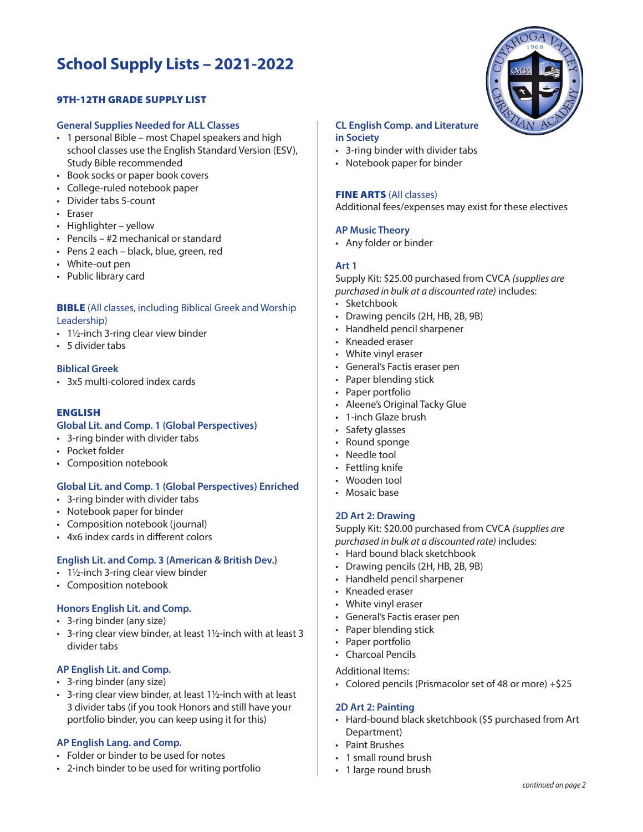# 9TH-12TH GRADE SUPPLY LIST

#### **General Supplies Needed for ALL Classes**

- 1 personal Bible most Chapel speakers and high school classes use the English Standard Version (ESV), Study Bible recommended
- Book socks or paper book covers
- College-ruled notebook paper
- Divider tabs 5-count
- Eraser
- Highlighter yellow
- Pencils #2 mechanical or standard
- Pens 2 each black, blue, green, red
- White-out pen
- Public library card

## BIBLE (All classes, including Biblical Greek and Worship Leadership)

- 1½-inch 3-ring clear view binder
- 5 divider tabs

#### **Biblical Greek**

• 3x5 multi-colored index cards

# ENGLISH **Global Lit. and Comp. 1 (Global Perspectives)**

- 3-ring binder with divider tabs
- Pocket folder
- Composition notebook

# **Global Lit. and Comp. 1 (Global Perspectives) Enriched**

- 3-ring binder with divider tabs
- Notebook paper for binder
- Composition notebook (journal)
- 4x6 index cards in different colors

## **English Lit. and Comp. 3 (American & British Dev.)**

- 1½-inch 3-ring clear view binder
- Composition notebook

## **Honors English Lit. and Comp.**

- 3-ring binder (any size)
- 3-ring clear view binder, at least 1½-inch with at least 3 divider tabs

## **AP English Lit. and Comp.**

- 3-ring binder (any size)
- 3-ring clear view binder, at least 1½-inch with at least 3 divider tabs (if you took Honors and still have your portfolio binder, you can keep using it for this)

# **AP English Lang. and Comp.**

- Folder or binder to be used for notes
- 2-inch binder to be used for writing portfolio

# **CL English Comp. and Literature in Society**

- 3-ring binder with divider tabs
- Notebook paper for binder

# FINE ARTS (All classes)

Additional fees/expenses may exist for these electives

# **AP Music Theory**

• Any folder or binder

#### **Art 1**

Supply Kit: \$25.00 purchased from CVCA *(supplies are purchased in bulk at a discounted rate)* includes:

- Sketchbook
- Drawing pencils (2H, HB, 2B, 9B)
- Handheld pencil sharpener
- Kneaded eraser
- White vinyl eraser
- General's Factis eraser pen
- Paper blending stick
- Paper portfolio
- Aleene's Original Tacky Glue
- 1-inch Glaze brush
- Safety glasses
- Round sponge
- Needle tool
- Fettling knife
- Wooden tool
- Mosaic base

## **2D Art 2: Drawing**

Supply Kit: \$20.00 purchased from CVCA *(supplies are purchased in bulk at a discounted rate)* includes:

- Hard bound black sketchbook
- Drawing pencils (2H, HB, 2B, 9B)
- Handheld pencil sharpener
- Kneaded eraser
- White vinyl eraser
- General's Factis eraser pen
- Paper blending stick
- Paper portfolio
- Charcoal Pencils

#### Additional Items:

• Colored pencils (Prismacolor set of 48 or more) +\$25

#### **2D Art 2: Painting**

- Hard-bound black sketchbook (\$5 purchased from Art Department)
- Paint Brushes
- 1 small round brush
- 1 large round brush

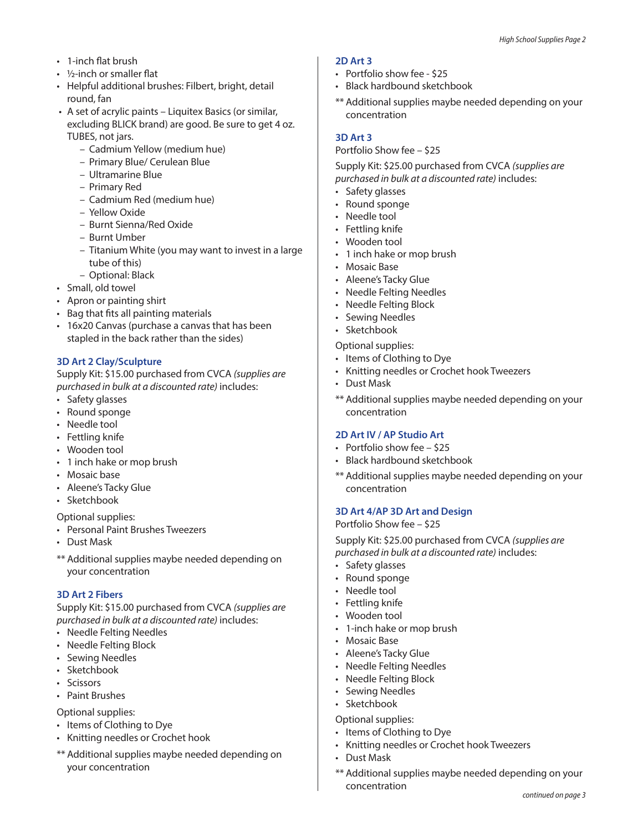- 1-inch flat brush
- ½-inch or smaller flat
- Helpful additional brushes: Filbert, bright, detail round, fan
- A set of acrylic paints Liquitex Basics (or similar, excluding BLICK brand) are good. Be sure to get 4 oz. TUBES, not jars.
	- Cadmium Yellow (medium hue)
	- Primary Blue/ Cerulean Blue
	- Ultramarine Blue
	- Primary Red
	- Cadmium Red (medium hue)
	- Yellow Oxide
	- Burnt Sienna/Red Oxide
	- Burnt Umber
	- Titanium White (you may want to invest in a large tube of this)
	- Optional: Black
- Small, old towel
- Apron or painting shirt
- Bag that fits all painting materials
- 16x20 Canvas (purchase a canvas that has been stapled in the back rather than the sides)

# **3D Art 2 Clay/Sculpture**

Supply Kit: \$15.00 purchased from CVCA *(supplies are purchased in bulk at a discounted rate)* includes:

- Safety glasses
- Round sponge
- Needle tool
- Fettling knife
- Wooden tool
- 1 inch hake or mop brush
- Mosaic base
- Aleene's Tacky Glue
- Sketchbook

Optional supplies:

- Personal Paint Brushes Tweezers
- Dust Mask
- \*\* Additional supplies maybe needed depending on your concentration

## **3D Art 2 Fibers**

Supply Kit: \$15.00 purchased from CVCA *(supplies are purchased in bulk at a discounted rate)* includes:

- Needle Felting Needles
- Needle Felting Block
- Sewing Needles
- Sketchbook
- Scissors
- Paint Brushes

Optional supplies:

- Items of Clothing to Dye
- Knitting needles or Crochet hook
- \*\* Additional supplies maybe needed depending on your concentration

# **2D Art 3**

- Portfolio show fee \$25
- Black hardbound sketchbook
- \*\* Additional supplies maybe needed depending on your concentration

# **3D Art 3**

Portfolio Show fee – \$25

Supply Kit: \$25.00 purchased from CVCA *(supplies are purchased in bulk at a discounted rate)* includes:

- Safety glasses
- Round sponge
- Needle tool
- Fettling knife
- Wooden tool
- 1 inch hake or mop brush
- Mosaic Base
- Aleene's Tacky Glue
- Needle Felting Needles
- Needle Felting Block
- Sewing Needles
- Sketchbook

Optional supplies:

- Items of Clothing to Dye
- Knitting needles or Crochet hook Tweezers
- Dust Mask
- \*\* Additional supplies maybe needed depending on your concentration

## **2D Art IV / AP Studio Art**

- Portfolio show fee \$25
- Black hardbound sketchbook
- \*\* Additional supplies maybe needed depending on your concentration

## **3D Art 4/AP 3D Art and Design**

Portfolio Show fee – \$25

Supply Kit: \$25.00 purchased from CVCA *(supplies are purchased in bulk at a discounted rate)* includes:

- Safety glasses
- Round sponge
- Needle tool
- Fettling knife
- Wooden tool
- 1-inch hake or mop brush
- Mosaic Base
- Aleene's Tacky Glue
- Needle Felting Needles
- Needle Felting Block
- Sewing Needles
- Sketchbook

## Optional supplies:

- Items of Clothing to Dye
- Knitting needles or Crochet hook Tweezers
- Dust Mask
- \*\* Additional supplies maybe needed depending on your concentration